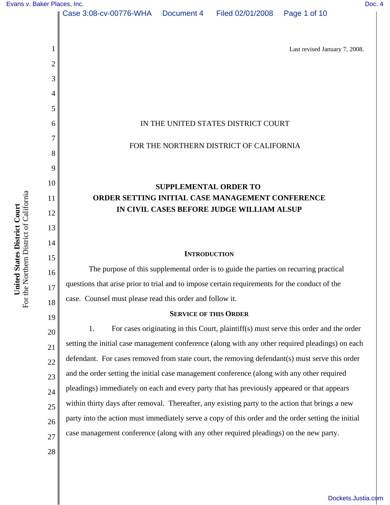[Evans v. Baker Places, Inc.](http://dockets.justia.com/docket/california/candce/3:2008cv00776/200087/) [Doc. 4](http://docs.justia.com/cases/federal/district-courts/california/candce/3:2008cv00776/200087/4/)

1

2

3

4

5

6

7

8

9

10

11

12

13

14

15

16

17

18

19

Last revised January 7, 2008.

## IN THE UNITED STATES DISTRICT COURT

#### FOR THE NORTHERN DISTRICT OF CALIFORNIA

# **SUPPLEMENTAL ORDER TO ORDER SETTING INITIAL CASE MANAGEMENT CONFERENCE IN CIVIL CASES BEFORE JUDGE WILLIAM ALSUP**

#### **INTRODUCTION**

The purpose of this supplemental order is to guide the parties on recurring practical questions that arise prior to trial and to impose certain requirements for the conduct of the case. Counsel must please read this order and follow it.

#### **SERVICE OF THIS ORDER**

25 26 27 1. For cases originating in this Court, plaintiff(s) must serve this order and the order setting the initial case management conference (along with any other required pleadings) on each defendant. For cases removed from state court, the removing defendant(s) must serve this order and the order setting the initial case management conference (along with any other required pleadings) immediately on each and every party that has previously appeared or that appears within thirty days after removal. Thereafter, any existing party to the action that brings a new party into the action must immediately serve a copy of this order and the order setting the initial case management conference (along with any other required pleadings) on the new party.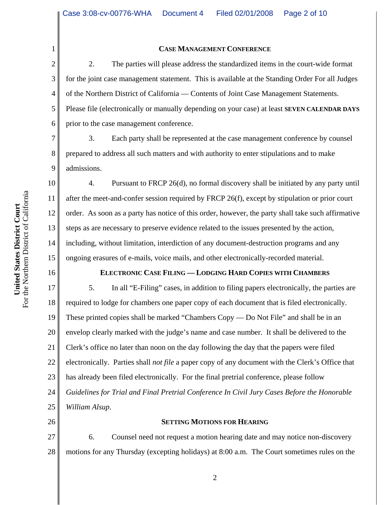## **CASE MANAGEMENT CONFERENCE**

2. The parties will please address the standardized items in the court-wide format for the joint case management statement. This is available at the Standing Order For all Judges of the Northern District of California — Contents of Joint Case Management Statements. Please file (electronically or manually depending on your case) at least **SEVEN CALENDAR DAYS** prior to the case management conference.

3. Each party shall be represented at the case management conference by counsel prepared to address all such matters and with authority to enter stipulations and to make admissions.

10 11 12 13 14 15 4. Pursuant to FRCP 26(d), no formal discovery shall be initiated by any party until after the meet-and-confer session required by FRCP 26(f), except by stipulation or prior court order. As soon as a party has notice of this order, however, the party shall take such affirmative steps as are necessary to preserve evidence related to the issues presented by the action, including, without limitation, interdiction of any document-destruction programs and any ongoing erasures of e-mails, voice mails, and other electronically-recorded material.

**ELECTRONIC CASE FILING — LODGING HARD COPIES WITH CHAMBERS**

17 18 19 20 21 22 23 24 25 5. In all "E-Filing" cases, in addition to filing papers electronically, the parties are required to lodge for chambers one paper copy of each document that is filed electronically. These printed copies shall be marked "Chambers Copy — Do Not File" and shall be in an envelop clearly marked with the judge's name and case number. It shall be delivered to the Clerk's office no later than noon on the day following the day that the papers were filed electronically. Parties shall *not file* a paper copy of any document with the Clerk's Office that has already been filed electronically. For the final pretrial conference, please follow *Guidelines for Trial and Final Pretrial Conference In Civil Jury Cases Before the Honorable William Alsup*.

**SETTING MOTIONS FOR HEARING**

27 28 6. Counsel need not request a motion hearing date and may notice non-discovery motions for any Thursday (excepting holidays) at 8:00 a.m. The Court sometimes rules on the

1

2

3

4

5

6

7

8

9

16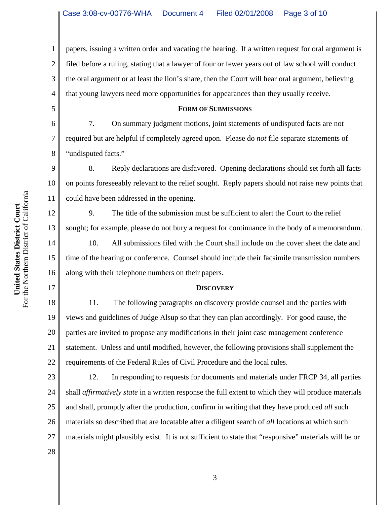1 2 3 4 papers, issuing a written order and vacating the hearing. If a written request for oral argument is filed before a ruling, stating that a lawyer of four or fewer years out of law school will conduct the oral argument or at least the lion's share, then the Court will hear oral argument, believing that young lawyers need more opportunities for appearances than they usually receive.

#### **FORM OF SUBMISSIONS**

7. On summary judgment motions, joint statements of undisputed facts are not required but are helpful if completely agreed upon. Please do *not* file separate statements of "undisputed facts."

10 8. Reply declarations are disfavored. Opening declarations should set forth all facts on points foreseeably relevant to the relief sought. Reply papers should not raise new points that could have been addressed in the opening.

9. The title of the submission must be sufficient to alert the Court to the relief sought; for example, please do not bury a request for continuance in the body of a memorandum.

14 16 10. All submissions filed with the Court shall include on the cover sheet the date and time of the hearing or conference. Counsel should include their facsimile transmission numbers along with their telephone numbers on their papers.

## **DISCOVERY**

18 19 20 21 22 11. The following paragraphs on discovery provide counsel and the parties with views and guidelines of Judge Alsup so that they can plan accordingly. For good cause, the parties are invited to propose any modifications in their joint case management conference statement. Unless and until modified, however, the following provisions shall supplement the requirements of the Federal Rules of Civil Procedure and the local rules.

23 24 25 26 27 12. In responding to requests for documents and materials under FRCP 34, all parties shall *affirmatively state* in a written response the full extent to which they will produce materials and shall, promptly after the production, confirm in writing that they have produced *all* such materials so described that are locatable after a diligent search of *all* locations at which such materials might plausibly exist. It is not sufficient to state that "responsive" materials will be or

5

6

7

8

9

11

12

13

15

17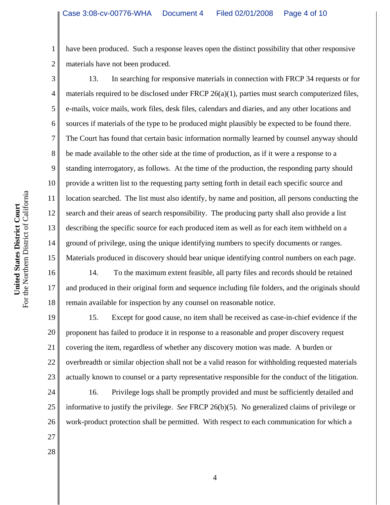have been produced. Such a response leaves open the distinct possibility that other responsive materials have not been produced.

13. In searching for responsive materials in connection with FRCP 34 requests or for materials required to be disclosed under FRCP 26(a)(1), parties must search computerized files, e-mails, voice mails, work files, desk files, calendars and diaries, and any other locations and sources if materials of the type to be produced might plausibly be expected to be found there. The Court has found that certain basic information normally learned by counsel anyway should be made available to the other side at the time of production, as if it were a response to a standing interrogatory, as follows. At the time of the production, the responding party should provide a written list to the requesting party setting forth in detail each specific source and location searched. The list must also identify, by name and position, all persons conducting the search and their areas of search responsibility. The producing party shall also provide a list describing the specific source for each produced item as well as for each item withheld on a ground of privilege, using the unique identifying numbers to specify documents or ranges. Materials produced in discovery should bear unique identifying control numbers on each page.

16 14. To the maximum extent feasible, all party files and records should be retained and produced in their original form and sequence including file folders, and the originals should remain available for inspection by any counsel on reasonable notice.

19 20 21 22 23 15. Except for good cause, no item shall be received as case-in-chief evidence if the proponent has failed to produce it in response to a reasonable and proper discovery request covering the item, regardless of whether any discovery motion was made. A burden or overbreadth or similar objection shall not be a valid reason for withholding requested materials actually known to counsel or a party representative responsible for the conduct of the litigation.

24 25 26 16. Privilege logs shall be promptly provided and must be sufficiently detailed and informative to justify the privilege. *See* FRCP 26(b)(5). No generalized claims of privilege or work-product protection shall be permitted. With respect to each communication for which a

1

2

3

4

5

6

7

8

9

10

11

12

13

14

15

17

18

27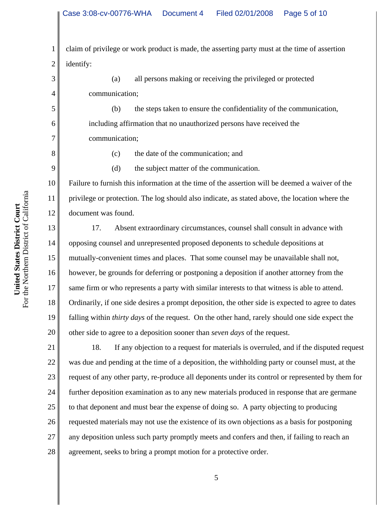1 2 claim of privilege or work product is made, the asserting party must at the time of assertion identify:

(a) all persons making or receiving the privileged or protected communication;

(b) the steps taken to ensure the confidentiality of the communication, including affirmation that no unauthorized persons have received the communication;

3

4

5

6

7

8

9

11

(c) the date of the communication; and

(d) the subject matter of the communication.

10 12 Failure to furnish this information at the time of the assertion will be deemed a waiver of the privilege or protection. The log should also indicate, as stated above, the location where the document was found.

13 14 15 16 17 18 19 20 17. Absent extraordinary circumstances, counsel shall consult in advance with opposing counsel and unrepresented proposed deponents to schedule depositions at mutually-convenient times and places. That some counsel may be unavailable shall not, however, be grounds for deferring or postponing a deposition if another attorney from the same firm or who represents a party with similar interests to that witness is able to attend. Ordinarily, if one side desires a prompt deposition, the other side is expected to agree to dates falling within *thirty days* of the request. On the other hand, rarely should one side expect the other side to agree to a deposition sooner than *seven days* of the request.

21 22 23 24 25 26 27 28 18. If any objection to a request for materials is overruled, and if the disputed request was due and pending at the time of a deposition, the withholding party or counsel must, at the request of any other party, re-produce all deponents under its control or represented by them for further deposition examination as to any new materials produced in response that are germane to that deponent and must bear the expense of doing so. A party objecting to producing requested materials may not use the existence of its own objections as a basis for postponing any deposition unless such party promptly meets and confers and then, if failing to reach an agreement, seeks to bring a prompt motion for a protective order.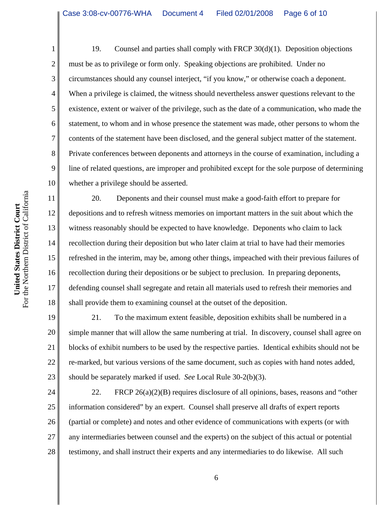19. Counsel and parties shall comply with FRCP 30(d)(1). Deposition objections must be as to privilege or form only. Speaking objections are prohibited. Under no circumstances should any counsel interject, "if you know," or otherwise coach a deponent. When a privilege is claimed, the witness should nevertheless answer questions relevant to the existence, extent or waiver of the privilege, such as the date of a communication, who made the statement, to whom and in whose presence the statement was made, other persons to whom the contents of the statement have been disclosed, and the general subject matter of the statement. Private conferences between deponents and attorneys in the course of examination, including a line of related questions, are improper and prohibited except for the sole purpose of determining whether a privilege should be asserted.

20. Deponents and their counsel must make a good-faith effort to prepare for depositions and to refresh witness memories on important matters in the suit about which the witness reasonably should be expected to have knowledge. Deponents who claim to lack recollection during their deposition but who later claim at trial to have had their memories refreshed in the interim, may be, among other things, impeached with their previous failures of recollection during their depositions or be subject to preclusion. In preparing deponents, defending counsel shall segregate and retain all materials used to refresh their memories and shall provide them to examining counsel at the outset of the deposition.

19 20 21 22 23 21. To the maximum extent feasible, deposition exhibits shall be numbered in a simple manner that will allow the same numbering at trial. In discovery, counsel shall agree on blocks of exhibit numbers to be used by the respective parties. Identical exhibits should not be re-marked, but various versions of the same document, such as copies with hand notes added, should be separately marked if used. *See* Local Rule 30-2(b)(3).

24 25 26 27 28 22. FRCP 26(a)(2)(B) requires disclosure of all opinions, bases, reasons and "other information considered" by an expert. Counsel shall preserve all drafts of expert reports (partial or complete) and notes and other evidence of communications with experts (or with any intermediaries between counsel and the experts) on the subject of this actual or potential testimony, and shall instruct their experts and any intermediaries to do likewise. All such

1

2

3

4

5

6

7

8

9

10

11

12

13

14

15

16

17

18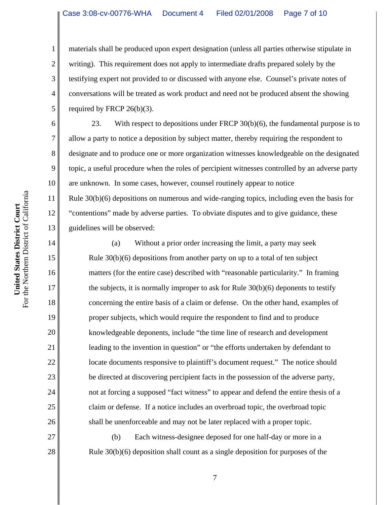materials shall be produced upon expert designation (unless all parties otherwise stipulate in writing). This requirement does not apply to intermediate drafts prepared solely by the testifying expert not provided to or discussed with anyone else. Counsel's private notes of conversations will be treated as work product and need not be produced absent the showing required by FRCP 26(b)(3).

23. With respect to depositions under FRCP 30(b)(6), the fundamental purpose is to allow a party to notice a deposition by subject matter, thereby requiring the respondent to designate and to produce one or more organization witnesses knowledgeable on the designated topic, a useful procedure when the roles of percipient witnesses controlled by an adverse party are unknown. In some cases, however, counsel routinely appear to notice Rule 30(b)(6) depositions on numerous and wide-ranging topics, including even the basis for "contentions" made by adverse parties. To obviate disputes and to give guidance, these guidelines will be observed:

(a) Without a prior order increasing the limit, a party may seek Rule 30(b)(6) depositions from another party on up to a total of ten subject matters (for the entire case) described with "reasonable particularity." In framing the subjects, it is normally improper to ask for Rule  $30(b)(6)$  deponents to testify concerning the entire basis of a claim or defense. On the other hand, examples of proper subjects, which would require the respondent to find and to produce knowledgeable deponents, include "the time line of research and development leading to the invention in question" or "the efforts undertaken by defendant to locate documents responsive to plaintiff's document request." The notice should be directed at discovering percipient facts in the possession of the adverse party, not at forcing a supposed "fact witness" to appear and defend the entire thesis of a claim or defense. If a notice includes an overbroad topic, the overbroad topic shall be unenforceable and may not be later replaced with a proper topic.

(b) Each witness-designee deposed for one half-day or more in a Rule 30(b)(6) deposition shall count as a single deposition for purposes of the

1

2

3

4

5

6

7

8

9

10

11

12

13

14

15

16

17

18

19

20

21

22

23

24

25

26

27

28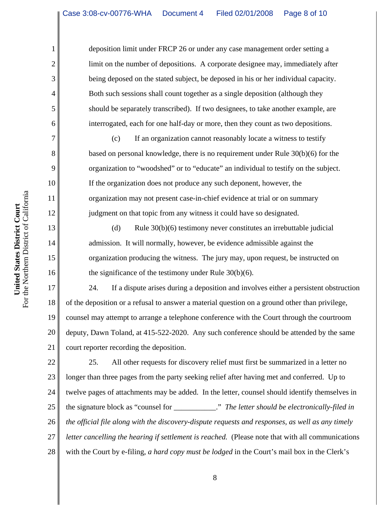deposition limit under FRCP 26 or under any case management order setting a limit on the number of depositions. A corporate designee may, immediately after being deposed on the stated subject, be deposed in his or her individual capacity. Both such sessions shall count together as a single deposition (although they should be separately transcribed). If two designees, to take another example, are interrogated, each for one half-day or more, then they count as two depositions.

(c) If an organization cannot reasonably locate a witness to testify based on personal knowledge, there is no requirement under Rule 30(b)(6) for the organization to "woodshed" or to "educate" an individual to testify on the subject. If the organization does not produce any such deponent, however, the organization may not present case-in-chief evidence at trial or on summary judgment on that topic from any witness it could have so designated.

(d) Rule 30(b)(6) testimony never constitutes an irrebuttable judicial admission. It will normally, however, be evidence admissible against the organization producing the witness. The jury may, upon request, be instructed on the significance of the testimony under Rule 30(b)(6).

17 18 19 20 21 24. If a dispute arises during a deposition and involves either a persistent obstruction of the deposition or a refusal to answer a material question on a ground other than privilege, counsel may attempt to arrange a telephone conference with the Court through the courtroom deputy, Dawn Toland, at 415-522-2020. Any such conference should be attended by the same court reporter recording the deposition.

22 23 24 25 26 27 28 25. All other requests for discovery relief must first be summarized in a letter no longer than three pages from the party seeking relief after having met and conferred. Up to twelve pages of attachments may be added. In the letter, counsel should identify themselves in the signature block as "counsel for \_\_\_\_\_\_\_\_\_\_\_." *The letter should be electronically-filed in the official file along with the discovery-dispute requests and responses, as well as any timely letter cancelling the hearing if settlement is reached.* (Please note that with all communications with the Court by e-filing, *a hard copy must be lodged* in the Court's mail box in the Clerk's

1

2

3

4

5

6

7

8

9

10

11

12

13

14

15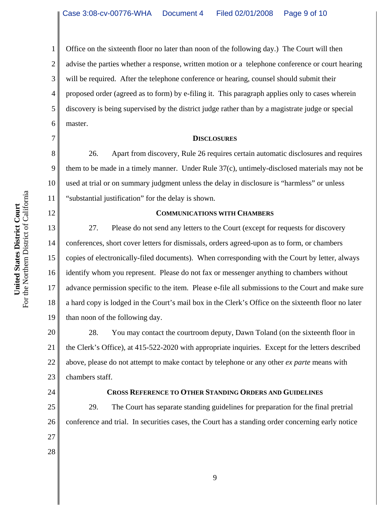Office on the sixteenth floor no later than noon of the following day.) The Court will then advise the parties whether a response, written motion or a telephone conference or court hearing will be required. After the telephone conference or hearing, counsel should submit their proposed order (agreed as to form) by e-filing it. This paragraph applies only to cases wherein discovery is being supervised by the district judge rather than by a magistrate judge or special master.

### **DISCLOSURES**

26. Apart from discovery, Rule 26 requires certain automatic disclosures and requires them to be made in a timely manner. Under Rule 37(c), untimely-disclosed materials may not be used at trial or on summary judgment unless the delay in disclosure is "harmless" or unless "substantial justification" for the delay is shown.

### **COMMUNICATIONS WITH CHAMBERS**

13 14 15 16 17 18 19 27. Please do not send any letters to the Court (except for requests for discovery conferences, short cover letters for dismissals, orders agreed-upon as to form, or chambers copies of electronically-filed documents). When corresponding with the Court by letter, always identify whom you represent. Please do not fax or messenger anything to chambers without advance permission specific to the item. Please e-file all submissions to the Court and make sure a hard copy is lodged in the Court's mail box in the Clerk's Office on the sixteenth floor no later than noon of the following day.

20 21 22 23 28. You may contact the courtroom deputy, Dawn Toland (on the sixteenth floor in the Clerk's Office), at 415-522-2020 with appropriate inquiries. Except for the letters described above, please do not attempt to make contact by telephone or any other *ex parte* means with chambers staff.

24

27

28

1

2

3

4

5

6

7

8

9

10

11

12

#### **CROSS REFERENCE TO OTHER STANDING ORDERS AND GUIDELINES**

25 26 29. The Court has separate standing guidelines for preparation for the final pretrial conference and trial. In securities cases, the Court has a standing order concerning early notice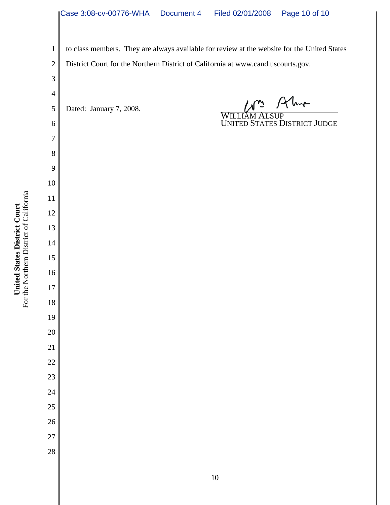to class members. They are always available for review at the website for the United States

 District Court for the Northern District of California at www.cand.uscourts.gov.

Dated: January 7, 2008. WILLIAM

UNITED STATES DISTRICT JUDGE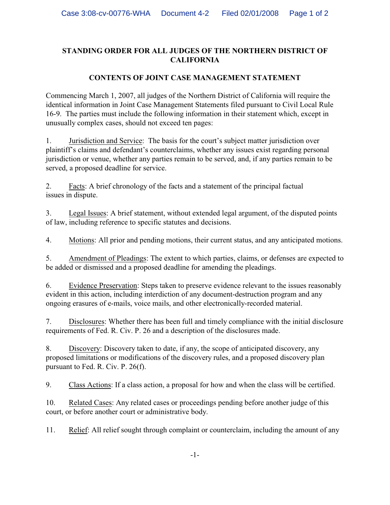## **STANDING ORDER FOR ALL JUDGES OF THE NORTHERN DISTRICT OF CALIFORNIA**

## **CONTENTS OF JOINT CASE MANAGEMENT STATEMENT**

Commencing March 1, 2007, all judges of the Northern District of California will require the identical information in Joint Case Management Statements filed pursuant to Civil Local Rule 16-9. The parties must include the following information in their statement which, except in unusually complex cases, should not exceed ten pages:

1. Jurisdiction and Service: The basis for the court's subject matter jurisdiction over plaintiff's claims and defendant's counterclaims, whether any issues exist regarding personal jurisdiction or venue, whether any parties remain to be served, and, if any parties remain to be served, a proposed deadline for service.

2. Facts: A brief chronology of the facts and a statement of the principal factual issues in dispute.

3. Legal Issues: A brief statement, without extended legal argument, of the disputed points of law, including reference to specific statutes and decisions.

4. Motions: All prior and pending motions, their current status, and any anticipated motions.

5. Amendment of Pleadings: The extent to which parties, claims, or defenses are expected to be added or dismissed and a proposed deadline for amending the pleadings.

6. Evidence Preservation: Steps taken to preserve evidence relevant to the issues reasonably evident in this action, including interdiction of any document-destruction program and any ongoing erasures of e-mails, voice mails, and other electronically-recorded material.

7. Disclosures: Whether there has been full and timely compliance with the initial disclosure requirements of Fed. R. Civ. P. 26 and a description of the disclosures made.

8. Discovery: Discovery taken to date, if any, the scope of anticipated discovery, any proposed limitations or modifications of the discovery rules, and a proposed discovery plan pursuant to Fed. R. Civ. P. 26(f).

9. Class Actions: If a class action, a proposal for how and when the class will be certified.

10. Related Cases: Any related cases or proceedings pending before another judge of this court, or before another court or administrative body.

11. Relief: All relief sought through complaint or counterclaim, including the amount of any